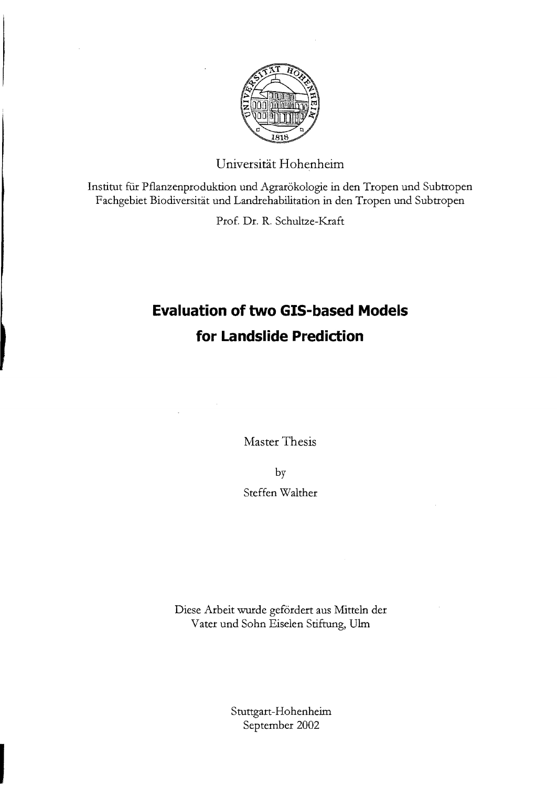

Universität Hohenheim

Institut für Pflanzenproduktion und Agrarökologie in den Tropen und Subtropen Fachgebiet Biodiversität und Landrehabilitation in den Tropen und Subtropen

Prof. Dr. R. Schultze-Kraft

## **Evaluation of two GIS-based Models for Landslide Prediction**

Master Thesis

by

Steffen Walther

Diese Arbeit wurde gefördert aus Mitteln der Vater und Sohn Eiselen Stiftung, Uhn

> Stuttgart-Hohenheim September 2002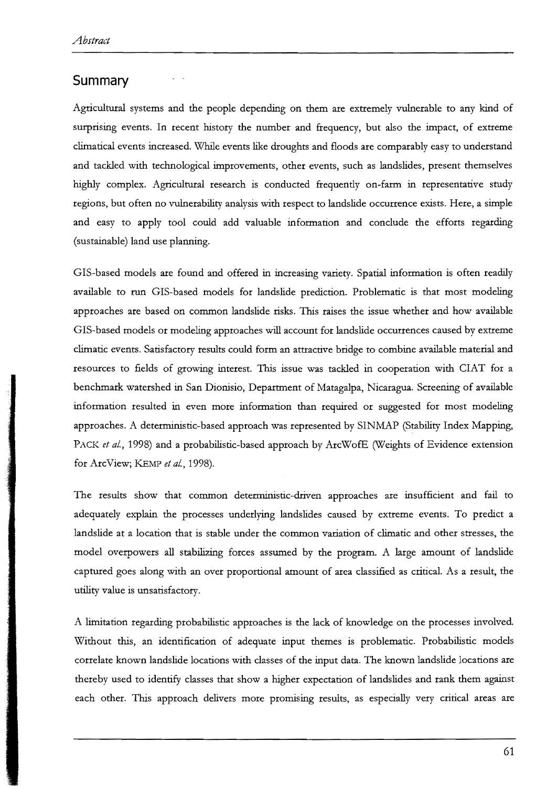## **Summary**

Agticultural systems and the people depending on them are extremely vulnerable to any kind of surprising events, In recent history the number and frequency, but also the impact, of extreme clirnatical events increased. While events like droughts and floods are comparably easy to understand and tackled with technological improvements, other events, such as landslides, present themselves highly complex. Agricultural research is conducted frequently on-farm in representative study regions, but often no vulnerability analysis with respect to landslide occurrence exists. Here, a simple and easy to apply tool could add valuable information and conclude the efforts regarding (sustainable) land use planning.

GIS-based models are found and offered in increasing variety. Spatial information is often readily available to tun GIS-based models for landslide prediction. Problematic is that most modeling approaches are based on cornrnon landslide risks. This raises the issue whether and how available GIS-based models or modeling approaches will account for lands lide occurrences caused by extreme clirnatic events, Satisfactory results could form an attractive bridge to combine available material and resources to fields of growing interest. This issue was tackled in cooperation with CIAT for a benchmark watershed in San Dionisio, Departrnent of Matagalpa, Nicaragua. Screening of available information resulted in even more information than required or suggested for most modeling approaches. A deterrninistic-based approach was represented by SINMAP (Stability Index Mapping, PACK et al., 1998) and a probabilistic-based approach by ArcWofE (Weights of Evidence extension for ArcView; KEMP et al., 1998).

The results show that common deterministic-driven approaches are insufficient and fail to adequately explain the processes underlying landslides caused by extreme events. To predict a landslide at a location that is stable under the common variation of climatic and other stresses, the model overpowers all stabilizing forces assurned by the program. A large amount of landslide captured goes along with an over proportional arnount of area classified as critical. As a result, the utility value is unsatisfactory.

A limitation regarding probabilistic approaches is the lack of knowledge on the processes involved. Without this, an identification of adequate input themes is problematic. Probabilistic models correlate known landslide locations with classes of the input data. The known landslide locations are thereby used to identify classes that show a higher expectation of landslides and rank them against each other. This approach delivers more promising results, as especially very critical areas are